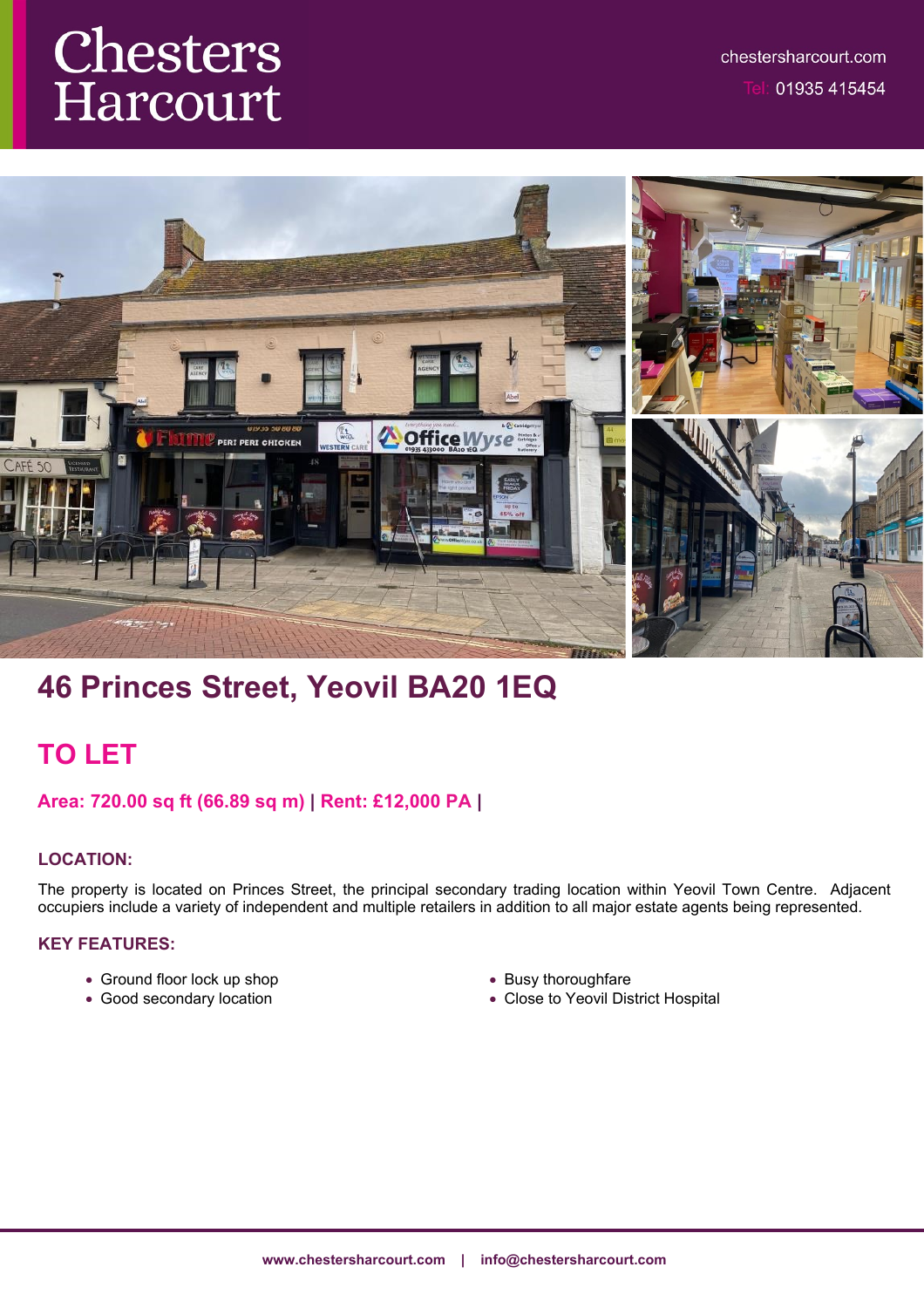# Chesters Harcourt



# **46 Princes Street, Yeovil BA20 1EQ**

## **TO LET**

## **Area: 720.00 sq ft (66.89 sq m) | Rent: £12,000 PA |**

## **LOCATION:**

The property is located on Princes Street, the principal secondary trading location within Yeovil Town Centre. Adjacent occupiers include a variety of independent and multiple retailers in addition to all major estate agents being represented.

#### **KEY FEATURES:**

- Ground floor lock up shop
- Good secondary location
- Busy thoroughfare
- Close to Yeovil District Hospital